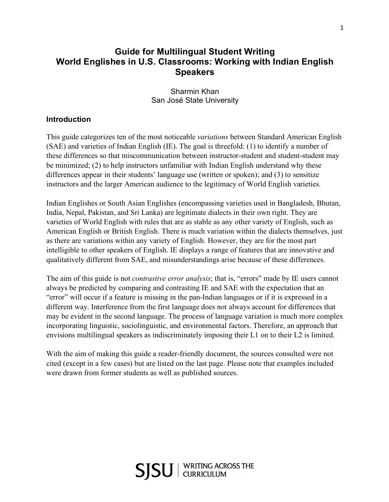## **Guide for Multilingual Student Writing World Englishes in U.S. Classrooms: Working with Indian English Speakers**

Sharmin Khan San José State University

## **Introduction**

This guide categorizes ten of the most noticeable *variations* between Standard American English (SAE) and varieties of Indian English (IE). The goal is threefold: (1) to identify a number of these differences so that miscommunication between instructor-student and student-student may be minimized; (2) to help instructors unfamiliar with Indian English understand why these differences appear in their students' language use (written or spoken); and (3) to sensitize instructors and the larger American audience to the legitimacy of World English varieties.

Indian Englishes or South Asian Englishes (encompassing varieties used in Bangladesh, Bhutan, India, Nepal, Pakistan, and Sri Lanka) are legitimate dialects in their own right. They are varieties of World English with rules that are as stable as any other variety of English, such as American English or British English. There is much variation within the dialects themselves, just as there are variations within any variety of English. However, they are for the most part intelligible to other speakers of English. IE displays a range of features that are innovative and qualitatively different from SAE, and misunderstandings arise because of these differences.

The aim of this guide is not *contrastive error analysis*; that is, "errors" made by IE users cannot always be predicted by comparing and contrasting IE and SAE with the expectation that an "error" will occur if a feature is missing in the pan-Indian languages or if it is expressed in a different way. Interference from the first language does not always account for differences that may be evident in the second language. The process of language variation is much more complex incorporating linguistic, sociolinguistic, and environmental factors. Therefore, an approach that envisions multilingual speakers as indiscriminately imposing their L1 on to their L2 is limited.

With the aim of making this guide a reader-friendly document, the sources consulted were not cited (except in a few cases) but are listed on the last page. Please note that examples included were drawn from former students as well as published sources.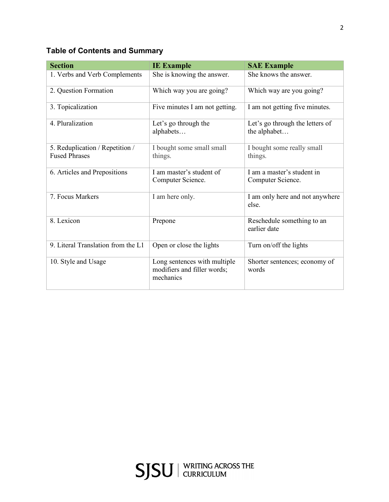# **Table of Contents and Summary**

| <b>Section</b>                                          | <b>IE Example</b>                                                        | <b>SAE Example</b>                              |
|---------------------------------------------------------|--------------------------------------------------------------------------|-------------------------------------------------|
| 1. Verbs and Verb Complements                           | She is knowing the answer.                                               | She knows the answer.                           |
| 2. Question Formation                                   | Which way you are going?                                                 | Which way are you going?                        |
| 3. Topicalization                                       | Five minutes I am not getting.                                           | I am not getting five minutes.                  |
| 4. Pluralization                                        | Let's go through the<br>alphabets                                        | Let's go through the letters of<br>the alphabet |
| 5. Reduplication / Repetition /<br><b>Fused Phrases</b> | I bought some small small<br>things.                                     | I bought some really small<br>things.           |
| 6. Articles and Prepositions                            | I am master's student of<br>Computer Science.                            | I am a master's student in<br>Computer Science. |
| 7. Focus Markers                                        | I am here only.                                                          | I am only here and not anywhere<br>else.        |
| 8. Lexicon                                              | Prepone                                                                  | Reschedule something to an<br>earlier date      |
| 9. Literal Translation from the L1                      | Open or close the lights                                                 | Turn on/off the lights                          |
| 10. Style and Usage                                     | Long sentences with multiple<br>modifiers and filler words;<br>mechanics | Shorter sentences; economy of<br>words          |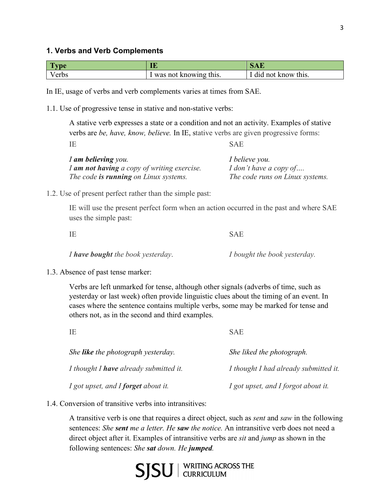| <b>Type</b> | IE                    | ðAĽ                  |
|-------------|-----------------------|----------------------|
| Verbs       | was not knowing this. | I did not know this. |

In IE, usage of verbs and verb complements varies at times from SAE.

1.1. Use of progressive tense in stative and non-stative verbs:

A stative verb expresses a state or a condition and not an activity. Examples of stative verbs are *be, have, know, believe.* In IE, stative verbs are given progressive forms:

IE SAE

| I am believing you.                          | I believe you.                  |
|----------------------------------------------|---------------------------------|
| I am not having a copy of writing exercise.  | I don't have a copy of          |
| The code <b>is running</b> on Linux systems. | The code runs on Linux systems. |

1.2. Use of present perfect rather than the simple past:

IE will use the present perfect form when an action occurred in the past and where SAE uses the simple past:

| IΕ                                       | <b>SAE</b>                   |
|------------------------------------------|------------------------------|
| I <b>have bought</b> the book yesterday. | I bought the book yesterday. |

1.3. Absence of past tense marker:

Verbs are left unmarked for tense, although other signals (adverbs of time, such as yesterday or last week) often provide linguistic clues about the timing of an event. In cases where the sentence contains multiple verbs, some may be marked for tense and others not, as in the second and third examples.

| IE                                        | <b>SAE</b>                            |
|-------------------------------------------|---------------------------------------|
| She <b>like</b> the photograph yesterday. | She liked the photograph.             |
| I thought I have already submitted it.    | I thought I had already submitted it. |
| I got upset, and I forget about it.       | I got upset, and I forgot about it.   |

1.4. Conversion of transitive verbs into intransitives:

A transitive verb is one that requires a direct object, such as *sent* and *saw* in the following sentences: *She sent me a letter. He saw the notice.* An intransitive verb does not need a direct object after it. Examples of intransitive verbs are *sit* and *jump* as shown in the following sentences: *She sat down. He jumped.*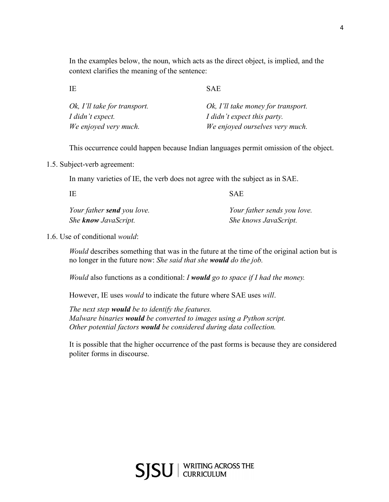In the examples below, the noun, which acts as the direct object, is implied, and the context clarifies the meaning of the sentence:

IE SAE

| Ok, I'll take for transport. | Ok, I'll take money for transport. |
|------------------------------|------------------------------------|
| I didn't expect.             | I didn't expect this party.        |
| We enjoyed very much.        | We enjoyed ourselves very much.    |

This occurrence could happen because Indian languages permit omission of the object.

1.5. Subject-verb agreement:

In many varieties of IE, the verb does not agree with the subject as in SAE.

| - IE                              | SAE                         |
|-----------------------------------|-----------------------------|
| Your father <b>send</b> you love. | Your father sends you love. |
| She <b>know</b> JavaScript.       | She knows JavaScript.       |

1.6. Use of conditional *would*:

*Would* describes something that was in the future at the time of the original action but is no longer in the future now: *She said that she would do the job.*

*Would* also functions as a conditional: *I would go to space if I had the money.*

However, IE uses *would* to indicate the future where SAE uses *will*.

*The next step would be to identify the features. Malware binaries would be converted to images using a Python script. Other potential factors would be considered during data collection.*

It is possible that the higher occurrence of the past forms is because they are considered politer forms in discourse.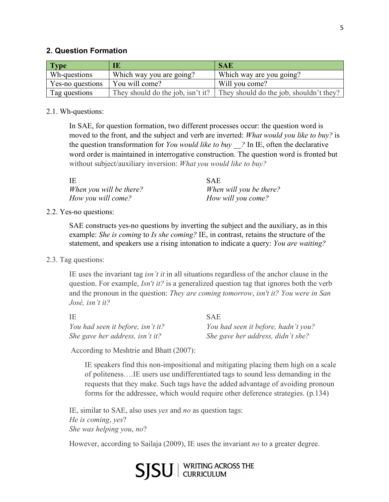## **2. Question Formation**

| <b>Type</b>      | IE                       | <b>SAE</b>                                                                |
|------------------|--------------------------|---------------------------------------------------------------------------|
| Wh-questions     | Which way you are going? | Which way are you going?                                                  |
| Yes-no questions | You will come?           | Will you come?                                                            |
| Tag questions    |                          | They should do the job, isn't it? They should do the job, shouldn't they? |

#### 2.1. Wh-questions:

In SAE, for question formation, two different processes occur: the question word is moved to the front, and the subject and verb are inverted: *What would you like to buy?* is the question transformation for *You would like to buy \_\_?* In IE, often the declarative word order is maintained in interrogative construction. The question word is fronted but without subject/auxiliary inversion: *What you would like to buy?*

| IΕ                      | <b>SAE</b>              |
|-------------------------|-------------------------|
| When you will be there? | When will you be there? |
| How you will come?      | How will you come?      |

#### 2.2. Yes-no questions:

SAE constructs yes-no questions by inverting the subject and the auxiliary, as in this example: *She is coming* to *Is she coming?* IE, in contrast, retains the structure of the statement, and speakers use a rising intonation to indicate a query: *You are waiting?* 

#### 2.3. Tag questions:

IE uses the invariant tag *isn't it* in all situations regardless of the anchor clause in the question. For example, *Isn't it?* is a generalized question tag that ignores both the verb and the pronoun in the question: *They are coming tomorrow*, *isn't it? You were in San José, isn't it?*

| IE                                | <b>SAE</b>                          |
|-----------------------------------|-------------------------------------|
| You had seen it before, isn't it? | You had seen it before, hadn't you? |
| She gave her address, isn't it?   | She gave her address, didn't she?   |

According to Meshtrie and Bhatt (2007):

IE speakers find this non-impositional and mitigating placing them high on a scale of politeness….IE users use undifferentiated tags to sound less demanding in the requests that they make. Such tags have the added advantage of avoiding pronoun forms for the addressee, which would require other deference strategies. (p.134)

IE, similar to SAE, also uses *yes* and *no* as question tags: *He is coming*, *yes*? *She was helping you*, *no*?

However, according to Sailaja (2009), IE uses the invariant *no* to a greater degree.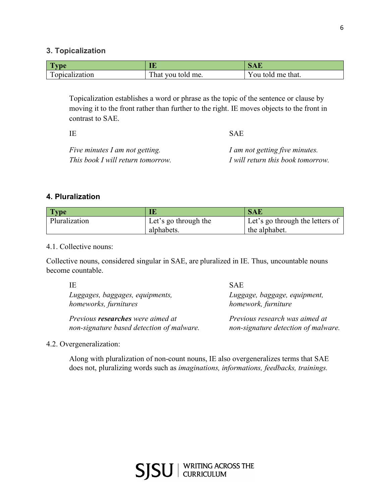## **3. Topicalization**

| l vpe          | ĪĒ                | SAĽ               |
|----------------|-------------------|-------------------|
| Topicalization | That you told me. | You told me that. |

Topicalization establishes a word or phrase as the topic of the sentence or clause by moving it to the front rather than further to the right. IE moves objects to the front in contrast to SAE.

IE SAE *Five minutes I am not getting. I am not getting five minutes. This book I will return tomorrow. I will return this book tomorrow.*

## **4. Pluralization**

| <b>Type</b>   |                      | <b>SAE</b>                      |
|---------------|----------------------|---------------------------------|
| Pluralization | Let's go through the | Let's go through the letters of |
|               | alphabets.           | the alphabet.                   |

#### 4.1. Collective nouns:

Collective nouns, considered singular in SAE, are pluralized in IE. Thus, uncountable nouns become countable.

| ΙE                                        | <b>SAE</b>                          |
|-------------------------------------------|-------------------------------------|
| Luggages, baggages, equipments,           | Luggage, baggage, equipment,        |
| homeworks, furnitures                     | homework, furniture                 |
| Previous <b>researches</b> were aimed at  | Previous research was aimed at      |
| non-signature based detection of malware. | non-signature detection of malware. |

#### 4.2. Overgeneralization:

Along with pluralization of non-count nouns, IE also overgeneralizes terms that SAE does not, pluralizing words such as *imaginations, informations, feedbacks, trainings.*

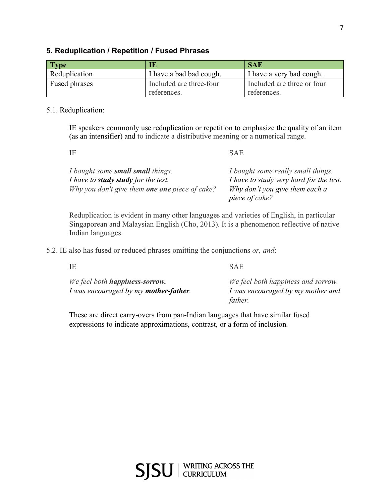## **5. Reduplication / Repetition / Fused Phrases**

| <b>Type</b>   | IE                      | <b>SAE</b>                 |
|---------------|-------------------------|----------------------------|
| Reduplication | I have a bad bad cough. | I have a very bad cough.   |
| Fused phrases | Included are three-four | Included are three or four |
|               | references.             | references.                |

#### 5.1. Reduplication:

IE speakers commonly use reduplication or repetition to emphasize the quality of an item (as an intensifier) and to indicate a distributive meaning or a numerical range.

IE SAE

| I bought some <b>small small</b> things.              | I bought some really small things.      |
|-------------------------------------------------------|-----------------------------------------|
| I have to <b>study study</b> for the test.            | I have to study very hard for the test. |
| Why you don't give them <b>one one</b> piece of cake? | Why don't you give them each a          |
|                                                       | piece of cake?                          |

Reduplication is evident in many other languages and varieties of English, in particular Singaporean and Malaysian English (Cho, 2013). It is a phenomenon reflective of native Indian languages.

5.2. IE also has fused or reduced phrases omitting the conjunctions *or, and*:

| IΕ                                            | <b>SAE</b>                         |
|-----------------------------------------------|------------------------------------|
| We feel both <b>happiness-sorrow.</b>         | We feel both happiness and sorrow. |
| I was encouraged by my <b>mother-father</b> . | I was encouraged by my mother and  |
|                                               | father.                            |

These are direct carry-overs from pan-Indian languages that have similar fused expressions to indicate approximations, contrast, or a form of inclusion.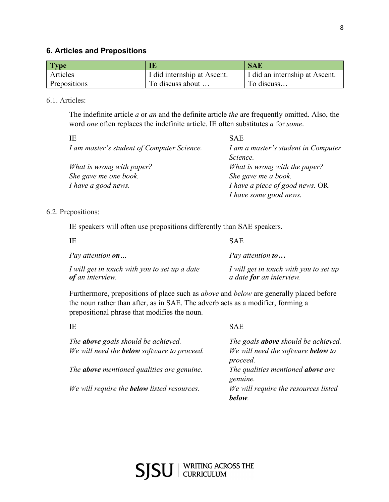## **6. Articles and Prepositions**

| <b>Type</b>  | IE                          | <b>SAE</b>                     |
|--------------|-----------------------------|--------------------------------|
| Articles     | I did internship at Ascent. | I did an internship at Ascent. |
| Prepositions | To discuss about            | To discuss                     |

6.1. Articles:

The indefinite article *a* or *an* and the definite article *the* are frequently omitted. Also, the word *one* often replaces the indefinite article. IE often substitutes *a* for *some*.

| ΙE                                         | <b>SAE</b>                          |
|--------------------------------------------|-------------------------------------|
| I am master's student of Computer Science. | I am a master's student in Computer |
|                                            | Science.                            |
| What is wrong with paper?                  | What is wrong with the paper?       |
| She gave me one book.                      | She gave me a book.                 |
| I have a good news.                        | I have a piece of good news. OR     |
|                                            | I have some good news.              |

6.2. Prepositions:

IE speakers will often use prepositions differently than SAE speakers.

| -IE                                                               | <b>SAE</b>                                                                |
|-------------------------------------------------------------------|---------------------------------------------------------------------------|
| Pay attention <b>on</b>                                           | Pay attention <b>to</b>                                                   |
| I will get in touch with you to set up a date<br>of an interview. | I will get in touch with you to set up<br>a date <b>for</b> an interview. |

Furthermore, prepositions of place such as *above* and *below* are generally placed before the noun rather than after, as in SAE. The adverb acts as a modifier, forming a prepositional phrase that modifies the noun.

| IΕ                                                 | <b>SAE</b>                                 |
|----------------------------------------------------|--------------------------------------------|
| The <b>above</b> goals should be achieved.         | The goals <b>above</b> should be achieved. |
| We will need the <b>below</b> software to proceed. | We will need the software <b>below</b> to  |
|                                                    | proceed.                                   |
| The <b>above</b> mentioned qualities are genuine.  | The qualities mentioned <b>above</b> are   |
|                                                    | genuine.                                   |
| We will require the <b>below</b> listed resources. | We will require the resources listed       |
|                                                    | below.                                     |
|                                                    |                                            |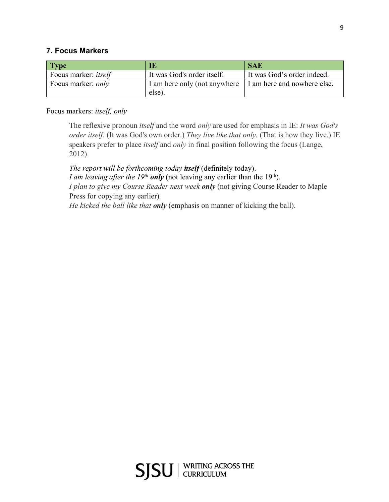## **7. Focus Markers**

| Type                        | IE                                     | <b>SAE</b>                  |
|-----------------------------|----------------------------------------|-----------------------------|
| Focus marker: <i>itself</i> | It was God's order itself.             | It was God's order indeed.  |
| Focus marker: <i>only</i>   | I am here only (not anywhere<br>else). | I am here and nowhere else. |

## Focus markers: *itself, only*

The reflexive pronoun *itself* and the word *only* are used for emphasis in IE: *It was God's order itself.* (It was God's own order.) *They live like that only.* (That is how they live.) IE speakers prefer to place *itself* and *only* in final position following the focus (Lange, 2012).

*The report will be forthcoming today <i>itself* (definitely today). *I am leaving after the 19<sup>th</sup> only* (not leaving any earlier than the 19<sup>th</sup>). *I plan to give my Course Reader next week only* (not giving Course Reader to Maple Press for copying any earlier)*. He kicked the ball like that only* (emphasis on manner of kicking the ball).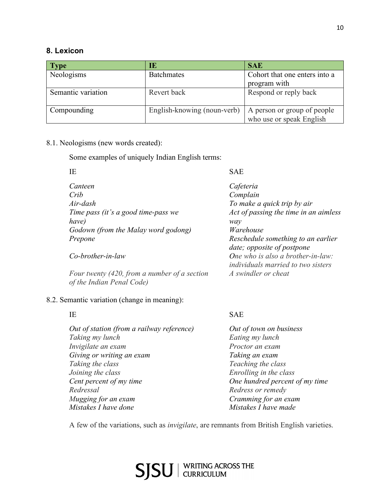## **8. Lexicon**

| <b>Type</b>        | IЕ                          | <b>SAE</b>                    |
|--------------------|-----------------------------|-------------------------------|
| Neologisms         | <b>Batchmates</b>           | Cohort that one enters into a |
|                    |                             | program with                  |
| Semantic variation | Revert back                 | Respond or reply back         |
|                    |                             |                               |
| Compounding        | English-knowing (noun-verb) | A person or group of people   |
|                    |                             | who use or speak English      |

## 8.1. Neologisms (new words created):

Some examples of uniquely Indian English terms:

| IE                                                                                    | <b>SAE</b>                                                 |
|---------------------------------------------------------------------------------------|------------------------------------------------------------|
| Canteen                                                                               | Cafeteria                                                  |
| Crib                                                                                  | Complain                                                   |
| Air-dash                                                                              | To make a quick trip by air                                |
| Time pass (it's a good time-pass we                                                   | Act of passing the time in an aimless                      |
| have)                                                                                 | way                                                        |
| Godown (from the Malay word godong)                                                   | Warehouse                                                  |
| Prepone                                                                               | Reschedule something to an earlier                         |
|                                                                                       | date; opposite of postpone                                 |
| $Co\text{-}brother\text{-}in\text{-}law$                                              | One who is also a brother-in-law:                          |
|                                                                                       | <i>individuals married to two sisters</i>                  |
| $F_{21}$ to $F_{12}$ and $F_{21}$ for $F_{12}$ and $F_{21}$ and $F_{22}$ and $F_{23}$ | $\Lambda$ as the set of the set of $\Lambda$ and $\Lambda$ |

*Four twenty (420, from a number of a section A swindler or cheat of the Indian Penal Code)*

## 8.2. Semantic variation (change in meaning):

*Out of station (from a railway reference) Out of town on business Taking my lunch Eating my lunch Invigilate an exam Proctor an exam Giving or writing an exam Taking an exam Taking the class Teaching the class Joining the class Enrolling in the class Cent percent of my time One hundred percent of my time Redressal Redress or remedy Mugging for an exam Cramming for an exam Mistakes I have done Mistakes I have made*

## IE SAE

A few of the variations, such as *invigilate*, are remnants from British English varieties.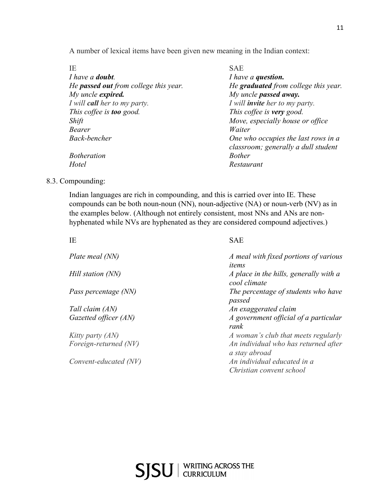A number of lexical items have been given new meaning in the Indian context:

| ×<br>×<br>i |  |
|-------------|--|
|             |  |
|             |  |

| IΕ                                           | <b>SAE</b>                            |
|----------------------------------------------|---------------------------------------|
| I have a <b>doubt</b> .                      | I have a question.                    |
| He <b>passed out</b> from college this year. | He graduated from college this year.  |
| My uncle <b>expired.</b>                     | My uncle passed away.                 |
| I will <b>call</b> her to my party.          | I will <b>invite</b> her to my party. |
| This coffee is <b>too</b> good.              | This coffee is very good.             |
| Shift                                        | Move, especially house or office      |
| Bearer                                       | Waiter                                |
| Back-bencher                                 | One who occupies the last rows in a   |
|                                              | classroom; generally a dull student   |
| <b>Botheration</b>                           | <b>Bother</b>                         |
| Hotel                                        | Restaurant                            |
|                                              |                                       |

8.3. Compounding:

Indian languages are rich in compounding, and this is carried over into IE. These compounds can be both noun-noun (NN), noun-adjective (NA) or noun-verb (NV) as in the examples below. (Although not entirely consistent, most NNs and ANs are nonhyphenated while NVs are hyphenated as they are considered compound adjectives.)

| IE                    | <b>SAE</b>                                              |
|-----------------------|---------------------------------------------------------|
| Plate meal (NN)       | A meal with fixed portions of various<br>items          |
| Hill station (NN)     | A place in the hills, generally with a<br>cool climate  |
| Pass percentage (NN)  | The percentage of students who have<br>passed           |
| Tall claim (AN)       | An exaggerated claim                                    |
| Gazetted officer (AN) | A government official of a particular<br>rank           |
| Kitty party (AN)      | A woman's club that meets regularly                     |
| Foreign-returned (NV) | An individual who has returned after<br>a stay abroad   |
| Convent-educated (NV) | An individual educated in a<br>Christian convent school |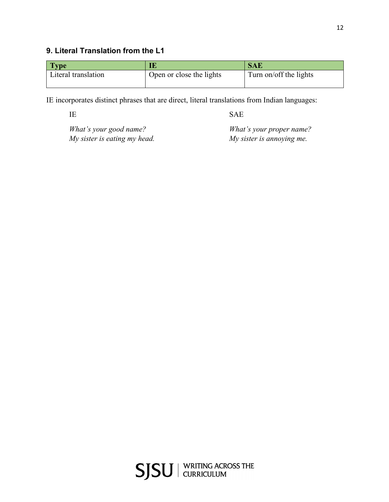## **9. Literal Translation from the L1**

| <b>Type</b>         | . .                      | <b>SAE</b>             |
|---------------------|--------------------------|------------------------|
| Literal translation | Open or close the lights | Turn on/off the lights |
|                     |                          |                        |

IE incorporates distinct phrases that are direct, literal translations from Indian languages:

IE SAE

*What's your good name? What's your proper name? My sister is eating my head. My sister is annoying me.*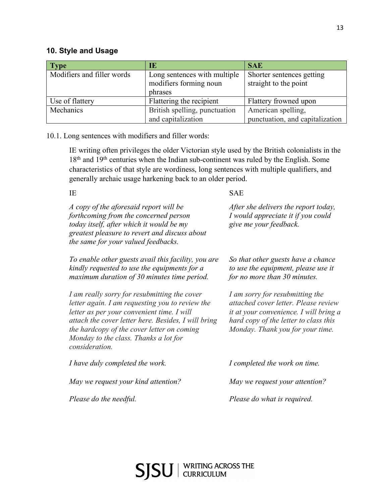| Type                       | IE                            | <b>SAE</b>                      |
|----------------------------|-------------------------------|---------------------------------|
| Modifiers and filler words | Long sentences with multiple  | Shorter sentences getting       |
|                            | modifiers forming noun        | straight to the point           |
|                            | phrases                       |                                 |
| Use of flattery            | Flattering the recipient      | Flattery frowned upon           |
| Mechanics                  | British spelling, punctuation | American spelling,              |
|                            | and capitalization            | punctuation, and capitalization |

10.1. Long sentences with modifiers and filler words:

IE writing often privileges the older Victorian style used by the British colonialists in the 18<sup>th</sup> and 19<sup>th</sup> centuries when the Indian sub-continent was ruled by the English. Some characteristics of that style are wordiness, long sentences with multiple qualifiers, and generally archaic usage harkening back to an older period.

IE SAE

| A copy of the aforesaid report will be<br>forthcoming from the concerned person<br>today itself, after which it would be my<br>greatest pleasure to revert and discuss about<br>the same for your valued feedbacks.                                                                                           | After she delivers the report today,<br>I would appreciate it if you could<br>give me your feedback.                                                                                                  |
|---------------------------------------------------------------------------------------------------------------------------------------------------------------------------------------------------------------------------------------------------------------------------------------------------------------|-------------------------------------------------------------------------------------------------------------------------------------------------------------------------------------------------------|
| To enable other guests avail this facility, you are<br>kindly requested to use the equipments for a<br>maximum duration of 30 minutes time period.                                                                                                                                                            | So that other guests have a chance<br>to use the equipment, please use it<br>for no more than 30 minutes.                                                                                             |
| I am really sorry for resubmitting the cover<br>letter again. I am requesting you to review the<br>letter as per your convenient time. I will<br>attach the cover letter here. Besides, I will bring<br>the hardcopy of the cover letter on coming<br>Monday to the class. Thanks a lot for<br>consideration. | I am sorry for resubmitting the<br>attached cover letter. Please review<br><i>it at your convenience. I will bring a</i><br>hard copy of the letter to class this<br>Monday. Thank you for your time. |
| I have duly completed the work.                                                                                                                                                                                                                                                                               | I completed the work on time.                                                                                                                                                                         |
| May we request your kind attention?                                                                                                                                                                                                                                                                           | May we request your attention?                                                                                                                                                                        |
| Please do the needful.                                                                                                                                                                                                                                                                                        | Please do what is required.                                                                                                                                                                           |
|                                                                                                                                                                                                                                                                                                               |                                                                                                                                                                                                       |

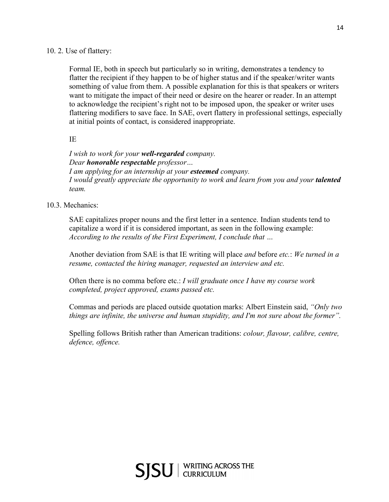## 10. 2. Use of flattery:

Formal IE, both in speech but particularly so in writing, demonstrates a tendency to flatter the recipient if they happen to be of higher status and if the speaker/writer wants something of value from them. A possible explanation for this is that speakers or writers want to mitigate the impact of their need or desire on the hearer or reader. In an attempt to acknowledge the recipient's right not to be imposed upon, the speaker or writer uses flattering modifiers to save face. In SAE, overt flattery in professional settings, especially at initial points of contact, is considered inappropriate.

## IE

*I wish to work for your well-regarded company. Dear honorable respectable professor… I am applying for an internship at your esteemed company. I* would greatly appreciate the opportunity to work and learn from you and your *talented team.* 

## 10.3. Mechanics:

SAE capitalizes proper nouns and the first letter in a sentence. Indian students tend to capitalize a word if it is considered important, as seen in the following example: *According to the results of the First Experiment, I conclude that …*

Another deviation from SAE is that IE writing will place *and* before *etc.*: *We turned in a resume, contacted the hiring manager, requested an interview and etc.*

Often there is no comma before etc.: *I will graduate once I have my course work completed, project approved, exams passed etc.*

Commas and periods are placed outside quotation marks: Albert Einstein said, *"Only two things are infinite, the universe and human stupidity, and I'm not sure about the former".*

Spelling follows British rather than American traditions: *colour, flavour, calibre, centre, defence, offence.*